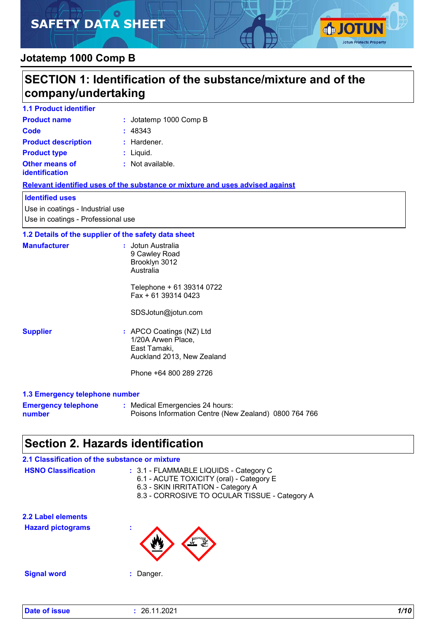# **SAFETY DATA SHEET**



## **Jotatemp 1000 Comp B**

| SECTION 1: Identification of the substance/mixture and of the<br>company/undertaking |                                                                                                                        |  |
|--------------------------------------------------------------------------------------|------------------------------------------------------------------------------------------------------------------------|--|
| <b>1.1 Product identifier</b>                                                        |                                                                                                                        |  |
| <b>Product name</b>                                                                  | : Jotatemp 1000 Comp B                                                                                                 |  |
| <b>Code</b>                                                                          | : 48343                                                                                                                |  |
| <b>Product description</b>                                                           | : Hardener.                                                                                                            |  |
| <b>Product type</b>                                                                  | : Liquid.                                                                                                              |  |
| <b>Other means of</b><br>identification                                              | : Not available.                                                                                                       |  |
|                                                                                      | Relevant identified uses of the substance or mixture and uses advised against                                          |  |
| <b>Identified uses</b>                                                               |                                                                                                                        |  |
| Use in coatings - Industrial use<br>Use in coatings - Professional use               |                                                                                                                        |  |
| 1.2 Details of the supplier of the safety data sheet                                 |                                                                                                                        |  |
| <b>Manufacturer</b>                                                                  | : Jotun Australia<br>9 Cawley Road<br>Brooklyn 3012<br>Australia<br>Telephone + 61 39314 0722<br>Fax + 61 39314 0423   |  |
|                                                                                      | SDSJotun@jotun.com                                                                                                     |  |
| <b>Supplier</b>                                                                      | : APCO Coatings (NZ) Ltd<br>1/20A Arwen Place,<br>East Tamaki,<br>Auckland 2013, New Zealand<br>Phone +64 800 289 2726 |  |
| 1.3 Emergency telephone number                                                       |                                                                                                                        |  |
| <b>Emergency telephone</b><br>number                                                 | : Medical Emergencies 24 hours:<br>Poisons Information Centre (New Zealand) 0800 764 766                               |  |
|                                                                                      | <b>Section 2. Hazards identification</b>                                                                               |  |
| 2.1 Classification of the substance or mixture                                       |                                                                                                                        |  |

| <b>HSNO Classification</b> | : 3.1 - FLAMMABLE LIQUIDS - Category C<br>6.1 - ACUTE TOXICITY (oral) - Category E<br>6.3 - SKIN IRRITATION - Category A<br>8.3 - CORROSIVE TO OCULAR TISSUE - Category A |
|----------------------------|---------------------------------------------------------------------------------------------------------------------------------------------------------------------------|
| <b>2.2 Label elements</b>  |                                                                                                                                                                           |
| <b>Hazard pictograms</b>   | $\mathbf{r}$                                                                                                                                                              |
| <b>Signal word</b>         | Danger.                                                                                                                                                                   |
|                            |                                                                                                                                                                           |

| Date of issue | 26.11.2021 | 1/10 |
|---------------|------------|------|
|               |            |      |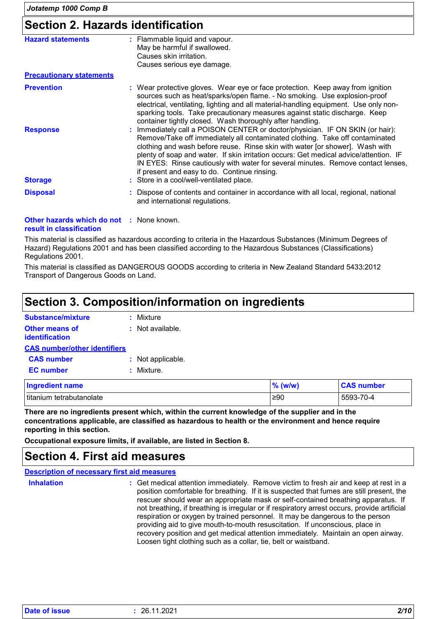## **Section 2. Hazards identification**

| <b>Hazard statements</b>                        | : Flammable liquid and vapour.<br>May be harmful if swallowed.<br>Causes skin irritation.<br>Causes serious eye damage.                                                                                                                                                                                                                                                                                                                                                    |
|-------------------------------------------------|----------------------------------------------------------------------------------------------------------------------------------------------------------------------------------------------------------------------------------------------------------------------------------------------------------------------------------------------------------------------------------------------------------------------------------------------------------------------------|
| <b>Precautionary statements</b>                 |                                                                                                                                                                                                                                                                                                                                                                                                                                                                            |
| <b>Prevention</b>                               | : Wear protective gloves. Wear eye or face protection. Keep away from ignition<br>sources such as heat/sparks/open flame. - No smoking. Use explosion-proof<br>electrical, ventilating, lighting and all material-handling equipment. Use only non-<br>sparking tools. Take precautionary measures against static discharge. Keep<br>container tightly closed. Wash thoroughly after handling.                                                                             |
| <b>Response</b>                                 | : Immediately call a POISON CENTER or doctor/physician. IF ON SKIN (or hair):<br>Remove/Take off immediately all contaminated clothing. Take off contaminated<br>clothing and wash before reuse. Rinse skin with water [or shower]. Wash with<br>plenty of soap and water. If skin irritation occurs: Get medical advice/attention. IF<br>IN EYES: Rinse cautiously with water for several minutes. Remove contact lenses,<br>if present and easy to do. Continue rinsing. |
| <b>Storage</b>                                  | : Store in a cool/well-ventilated place.                                                                                                                                                                                                                                                                                                                                                                                                                                   |
| <b>Disposal</b>                                 | : Dispose of contents and container in accordance with all local, regional, national<br>and international regulations.                                                                                                                                                                                                                                                                                                                                                     |
| <b>Other hazards which do not : None known.</b> |                                                                                                                                                                                                                                                                                                                                                                                                                                                                            |

#### **result in classification**

This material is classified as hazardous according to criteria in the Hazardous Substances (Minimum Degrees of Hazard) Regulations 2001 and has been classified according to the Hazardous Substances (Classifications) Regulations 2001.

This material is classified as DANGEROUS GOODS according to criteria in New Zealand Standard 5433:2012 Transport of Dangerous Goods on Land.

## **Section 3. Composition/information on ingredients**

| Substance/mixture                       | : Mixture          |
|-----------------------------------------|--------------------|
| <b>Other means of</b><br>identification | $:$ Not available. |
| <b>CAS number/other identifiers</b>     |                    |
| <b>CAS number</b>                       | : Not applicable.  |
| <b>EC</b> number                        | : Mixture.         |
| <b>Ingredient name</b>                  |                    |

| <b>Ingredient name</b>   | $%$ (w/w) | <b>CAS number</b> |
|--------------------------|-----------|-------------------|
| titanium tetrabutanolate | ∍≥90      | 5593-70-4         |

**There are no ingredients present which, within the current knowledge of the supplier and in the concentrations applicable, are classified as hazardous to health or the environment and hence require reporting in this section.**

**Occupational exposure limits, if available, are listed in Section 8.**

### **Section 4. First aid measures**

| <b>Description of necessary first aid measures</b> |                                                                                                                                                                                                                                                                                                                                                                                                                                                                                                                                                                                                                                                                                                 |
|----------------------------------------------------|-------------------------------------------------------------------------------------------------------------------------------------------------------------------------------------------------------------------------------------------------------------------------------------------------------------------------------------------------------------------------------------------------------------------------------------------------------------------------------------------------------------------------------------------------------------------------------------------------------------------------------------------------------------------------------------------------|
| <b>Inhalation</b>                                  | : Get medical attention immediately. Remove victim to fresh air and keep at rest in a<br>position comfortable for breathing. If it is suspected that fumes are still present, the<br>rescuer should wear an appropriate mask or self-contained breathing apparatus. If<br>not breathing, if breathing is irregular or if respiratory arrest occurs, provide artificial<br>respiration or oxygen by trained personnel. It may be dangerous to the person<br>providing aid to give mouth-to-mouth resuscitation. If unconscious, place in<br>recovery position and get medical attention immediately. Maintain an open airway.<br>Loosen tight clothing such as a collar, tie, belt or waistband. |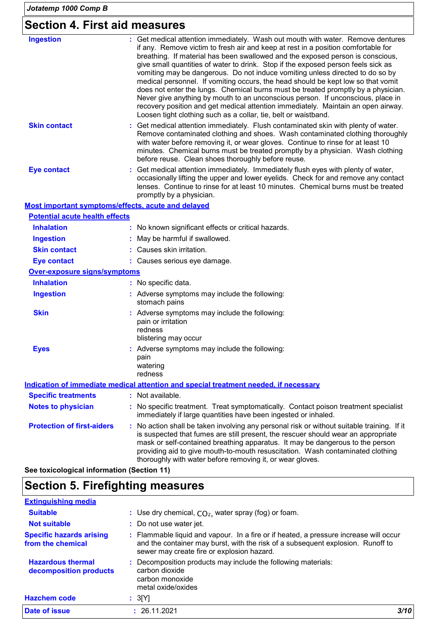## **Section 4. First aid measures**

| <b>Ingestion</b>                                   | : Get medical attention immediately. Wash out mouth with water. Remove dentures<br>if any. Remove victim to fresh air and keep at rest in a position comfortable for<br>breathing. If material has been swallowed and the exposed person is conscious,<br>give small quantities of water to drink. Stop if the exposed person feels sick as<br>vomiting may be dangerous. Do not induce vomiting unless directed to do so by<br>medical personnel. If vomiting occurs, the head should be kept low so that vomit<br>does not enter the lungs. Chemical burns must be treated promptly by a physician.<br>Never give anything by mouth to an unconscious person. If unconscious, place in<br>recovery position and get medical attention immediately. Maintain an open airway.<br>Loosen tight clothing such as a collar, tie, belt or waistband. |
|----------------------------------------------------|--------------------------------------------------------------------------------------------------------------------------------------------------------------------------------------------------------------------------------------------------------------------------------------------------------------------------------------------------------------------------------------------------------------------------------------------------------------------------------------------------------------------------------------------------------------------------------------------------------------------------------------------------------------------------------------------------------------------------------------------------------------------------------------------------------------------------------------------------|
| <b>Skin contact</b>                                | : Get medical attention immediately. Flush contaminated skin with plenty of water.<br>Remove contaminated clothing and shoes. Wash contaminated clothing thoroughly<br>with water before removing it, or wear gloves. Continue to rinse for at least 10<br>minutes. Chemical burns must be treated promptly by a physician. Wash clothing<br>before reuse. Clean shoes thoroughly before reuse.                                                                                                                                                                                                                                                                                                                                                                                                                                                  |
| <b>Eye contact</b>                                 | : Get medical attention immediately. Immediately flush eyes with plenty of water,<br>occasionally lifting the upper and lower eyelids. Check for and remove any contact<br>lenses. Continue to rinse for at least 10 minutes. Chemical burns must be treated<br>promptly by a physician.                                                                                                                                                                                                                                                                                                                                                                                                                                                                                                                                                         |
| Most important symptoms/effects, acute and delayed |                                                                                                                                                                                                                                                                                                                                                                                                                                                                                                                                                                                                                                                                                                                                                                                                                                                  |
| <b>Potential acute health effects</b>              |                                                                                                                                                                                                                                                                                                                                                                                                                                                                                                                                                                                                                                                                                                                                                                                                                                                  |
| <b>Inhalation</b>                                  | : No known significant effects or critical hazards.                                                                                                                                                                                                                                                                                                                                                                                                                                                                                                                                                                                                                                                                                                                                                                                              |
| <b>Ingestion</b>                                   | : May be harmful if swallowed.                                                                                                                                                                                                                                                                                                                                                                                                                                                                                                                                                                                                                                                                                                                                                                                                                   |
| <b>Skin contact</b>                                | : Causes skin irritation.                                                                                                                                                                                                                                                                                                                                                                                                                                                                                                                                                                                                                                                                                                                                                                                                                        |
| <b>Eye contact</b>                                 | : Causes serious eye damage.                                                                                                                                                                                                                                                                                                                                                                                                                                                                                                                                                                                                                                                                                                                                                                                                                     |
| <b>Over-exposure signs/symptoms</b>                |                                                                                                                                                                                                                                                                                                                                                                                                                                                                                                                                                                                                                                                                                                                                                                                                                                                  |
| <b>Inhalation</b>                                  | : No specific data.                                                                                                                                                                                                                                                                                                                                                                                                                                                                                                                                                                                                                                                                                                                                                                                                                              |
| <b>Ingestion</b>                                   | : Adverse symptoms may include the following:<br>stomach pains                                                                                                                                                                                                                                                                                                                                                                                                                                                                                                                                                                                                                                                                                                                                                                                   |
| <b>Skin</b>                                        | : Adverse symptoms may include the following:<br>pain or irritation<br>redness<br>blistering may occur                                                                                                                                                                                                                                                                                                                                                                                                                                                                                                                                                                                                                                                                                                                                           |
| <b>Eyes</b>                                        | : Adverse symptoms may include the following:<br>pain<br>watering<br>redness                                                                                                                                                                                                                                                                                                                                                                                                                                                                                                                                                                                                                                                                                                                                                                     |
|                                                    | Indication of immediate medical attention and special treatment needed, if necessary                                                                                                                                                                                                                                                                                                                                                                                                                                                                                                                                                                                                                                                                                                                                                             |
| <b>Specific treatments</b>                         | : Not available.                                                                                                                                                                                                                                                                                                                                                                                                                                                                                                                                                                                                                                                                                                                                                                                                                                 |
| <b>Notes to physician</b>                          | : No specific treatment. Treat symptomatically. Contact poison treatment specialist<br>immediately if large quantities have been ingested or inhaled.                                                                                                                                                                                                                                                                                                                                                                                                                                                                                                                                                                                                                                                                                            |
| <b>Protection of first-aiders</b>                  | : No action shall be taken involving any personal risk or without suitable training. If it<br>is suspected that fumes are still present, the rescuer should wear an appropriate<br>mask or self-contained breathing apparatus. It may be dangerous to the person<br>providing aid to give mouth-to-mouth resuscitation. Wash contaminated clothing<br>thoroughly with water before removing it, or wear gloves.                                                                                                                                                                                                                                                                                                                                                                                                                                  |

**See toxicological information (Section 11)**

## **Section 5. Firefighting measures**

| <b>Extinguishing media</b>                           |                                                                                                                                                                                                                        |  |
|------------------------------------------------------|------------------------------------------------------------------------------------------------------------------------------------------------------------------------------------------------------------------------|--|
| <b>Suitable</b>                                      | : Use dry chemical, $CO2$ , water spray (fog) or foam.                                                                                                                                                                 |  |
| <b>Not suitable</b>                                  | : Do not use water jet.                                                                                                                                                                                                |  |
| <b>Specific hazards arising</b><br>from the chemical | : Flammable liquid and vapour. In a fire or if heated, a pressure increase will occur<br>and the container may burst, with the risk of a subsequent explosion. Runoff to<br>sewer may create fire or explosion hazard. |  |
| <b>Hazardous thermal</b><br>decomposition products   | : Decomposition products may include the following materials:<br>carbon dioxide<br>carbon monoxide<br>metal oxide/oxides                                                                                               |  |
| <b>Hazchem code</b>                                  | : 3[Y]                                                                                                                                                                                                                 |  |
| <b>Date of issue</b>                                 | 3/10<br>26.11.2021                                                                                                                                                                                                     |  |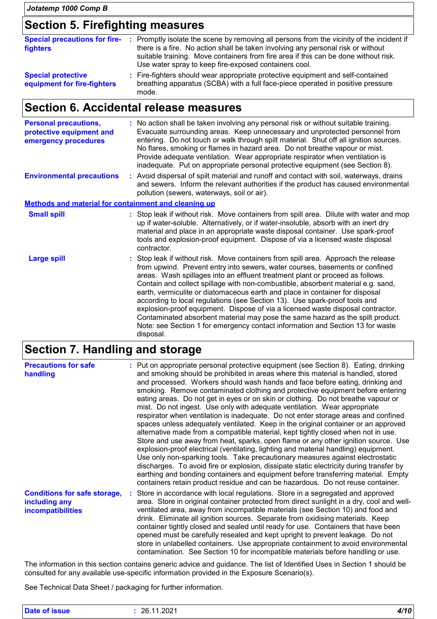### **Section 5. Firefighting measures**

| <b>Special precautions for fire-</b><br>fighters         | : Promptly isolate the scene by removing all persons from the vicinity of the incident if<br>there is a fire. No action shall be taken involving any personal risk or without<br>suitable training. Move containers from fire area if this can be done without risk.<br>Use water spray to keep fire-exposed containers cool. |
|----------------------------------------------------------|-------------------------------------------------------------------------------------------------------------------------------------------------------------------------------------------------------------------------------------------------------------------------------------------------------------------------------|
| <b>Special protective</b><br>equipment for fire-fighters | : Fire-fighters should wear appropriate protective equipment and self-contained<br>breathing apparatus (SCBA) with a full face-piece operated in positive pressure<br>mode.                                                                                                                                                   |

## **Section 6. Accidental release measures**

| <b>Personal precautions,</b><br>protective equipment and<br>emergency procedures | : No action shall be taken involving any personal risk or without suitable training.<br>Evacuate surrounding areas. Keep unnecessary and unprotected personnel from<br>entering. Do not touch or walk through spilt material. Shut off all ignition sources.<br>No flares, smoking or flames in hazard area. Do not breathe vapour or mist.<br>Provide adequate ventilation. Wear appropriate respirator when ventilation is<br>inadequate. Put on appropriate personal protective equipment (see Section 8).                                                                                                                                                                                                                                                             |
|----------------------------------------------------------------------------------|---------------------------------------------------------------------------------------------------------------------------------------------------------------------------------------------------------------------------------------------------------------------------------------------------------------------------------------------------------------------------------------------------------------------------------------------------------------------------------------------------------------------------------------------------------------------------------------------------------------------------------------------------------------------------------------------------------------------------------------------------------------------------|
| <b>Environmental precautions</b>                                                 | : Avoid dispersal of spilt material and runoff and contact with soil, waterways, drains<br>and sewers. Inform the relevant authorities if the product has caused environmental<br>pollution (sewers, waterways, soil or air).                                                                                                                                                                                                                                                                                                                                                                                                                                                                                                                                             |
| <b>Methods and material for containment and cleaning up</b>                      |                                                                                                                                                                                                                                                                                                                                                                                                                                                                                                                                                                                                                                                                                                                                                                           |
| <b>Small spill</b>                                                               | : Stop leak if without risk. Move containers from spill area. Dilute with water and mop<br>up if water-soluble. Alternatively, or if water-insoluble, absorb with an inert dry<br>material and place in an appropriate waste disposal container. Use spark-proof<br>tools and explosion-proof equipment. Dispose of via a licensed waste disposal<br>contractor.                                                                                                                                                                                                                                                                                                                                                                                                          |
| <b>Large spill</b>                                                               | : Stop leak if without risk. Move containers from spill area. Approach the release<br>from upwind. Prevent entry into sewers, water courses, basements or confined<br>areas. Wash spillages into an effluent treatment plant or proceed as follows.<br>Contain and collect spillage with non-combustible, absorbent material e.g. sand,<br>earth, vermiculite or diatomaceous earth and place in container for disposal<br>according to local regulations (see Section 13). Use spark-proof tools and<br>explosion-proof equipment. Dispose of via a licensed waste disposal contractor.<br>Contaminated absorbent material may pose the same hazard as the spilt product.<br>Note: see Section 1 for emergency contact information and Section 13 for waste<br>disposal. |

## **Section 7. Handling and storage**

| <b>Precautions for safe</b><br>handling                                   | : Put on appropriate personal protective equipment (see Section 8). Eating, drinking<br>and smoking should be prohibited in areas where this material is handled, stored<br>and processed. Workers should wash hands and face before eating, drinking and<br>smoking. Remove contaminated clothing and protective equipment before entering<br>eating areas. Do not get in eyes or on skin or clothing. Do not breathe vapour or<br>mist. Do not ingest. Use only with adequate ventilation. Wear appropriate<br>respirator when ventilation is inadequate. Do not enter storage areas and confined<br>spaces unless adequately ventilated. Keep in the original container or an approved<br>alternative made from a compatible material, kept tightly closed when not in use.<br>Store and use away from heat, sparks, open flame or any other ignition source. Use<br>explosion-proof electrical (ventilating, lighting and material handling) equipment.<br>Use only non-sparking tools. Take precautionary measures against electrostatic<br>discharges. To avoid fire or explosion, dissipate static electricity during transfer by<br>earthing and bonding containers and equipment before transferring material. Empty<br>containers retain product residue and can be hazardous. Do not reuse container. |
|---------------------------------------------------------------------------|------------------------------------------------------------------------------------------------------------------------------------------------------------------------------------------------------------------------------------------------------------------------------------------------------------------------------------------------------------------------------------------------------------------------------------------------------------------------------------------------------------------------------------------------------------------------------------------------------------------------------------------------------------------------------------------------------------------------------------------------------------------------------------------------------------------------------------------------------------------------------------------------------------------------------------------------------------------------------------------------------------------------------------------------------------------------------------------------------------------------------------------------------------------------------------------------------------------------------------------------------------------------------------------------------------------|
| <b>Conditions for safe storage,</b><br>including any<br>incompatibilities | : Store in accordance with local regulations. Store in a segregated and approved<br>area. Store in original container protected from direct sunlight in a dry, cool and well-<br>ventilated area, away from incompatible materials (see Section 10) and food and<br>drink. Eliminate all ignition sources. Separate from oxidising materials. Keep<br>container tightly closed and sealed until ready for use. Containers that have been<br>opened must be carefully resealed and kept upright to prevent leakage. Do not<br>store in unlabelled containers. Use appropriate containment to avoid environmental<br>contamination. See Section 10 for incompatible materials before handling or use.                                                                                                                                                                                                                                                                                                                                                                                                                                                                                                                                                                                                              |

The information in this section contains generic advice and guidance. The list of Identified Uses in Section 1 should be consulted for any available use-specific information provided in the Exposure Scenario(s).

See Technical Data Sheet / packaging for further information.

| <b>Date of issue</b> | 11.2021<br>ንፍ<br>20. I | 140<br>77 I V |
|----------------------|------------------------|---------------|
|                      |                        |               |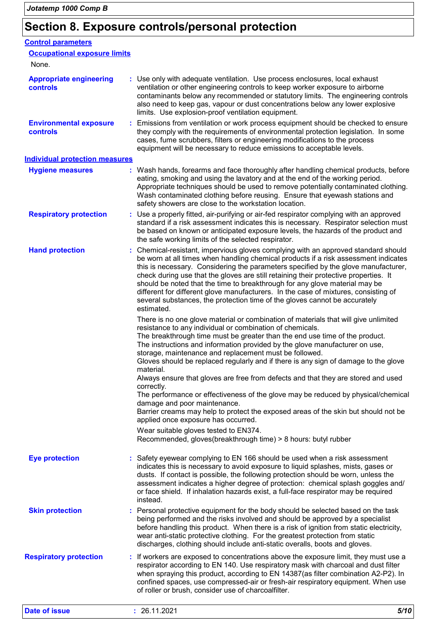# **Section 8. Exposure controls/personal protection**

| <b>Control parameters</b>                         |                                                                                                                                                                                                                                                                                                                                                                                                                                                                                                                                                                                                                                                                                                                                                                                                                                                                                                                                              |
|---------------------------------------------------|----------------------------------------------------------------------------------------------------------------------------------------------------------------------------------------------------------------------------------------------------------------------------------------------------------------------------------------------------------------------------------------------------------------------------------------------------------------------------------------------------------------------------------------------------------------------------------------------------------------------------------------------------------------------------------------------------------------------------------------------------------------------------------------------------------------------------------------------------------------------------------------------------------------------------------------------|
| <b>Occupational exposure limits</b>               |                                                                                                                                                                                                                                                                                                                                                                                                                                                                                                                                                                                                                                                                                                                                                                                                                                                                                                                                              |
| None.                                             |                                                                                                                                                                                                                                                                                                                                                                                                                                                                                                                                                                                                                                                                                                                                                                                                                                                                                                                                              |
| <b>Appropriate engineering</b><br><b>controls</b> | : Use only with adequate ventilation. Use process enclosures, local exhaust<br>ventilation or other engineering controls to keep worker exposure to airborne<br>contaminants below any recommended or statutory limits. The engineering controls<br>also need to keep gas, vapour or dust concentrations below any lower explosive<br>limits. Use explosion-proof ventilation equipment.                                                                                                                                                                                                                                                                                                                                                                                                                                                                                                                                                     |
| <b>Environmental exposure</b><br><b>controls</b>  | Emissions from ventilation or work process equipment should be checked to ensure<br>÷.<br>they comply with the requirements of environmental protection legislation. In some<br>cases, fume scrubbers, filters or engineering modifications to the process<br>equipment will be necessary to reduce emissions to acceptable levels.                                                                                                                                                                                                                                                                                                                                                                                                                                                                                                                                                                                                          |
| <b>Individual protection measures</b>             |                                                                                                                                                                                                                                                                                                                                                                                                                                                                                                                                                                                                                                                                                                                                                                                                                                                                                                                                              |
| <b>Hygiene measures</b>                           | : Wash hands, forearms and face thoroughly after handling chemical products, before<br>eating, smoking and using the lavatory and at the end of the working period.<br>Appropriate techniques should be used to remove potentially contaminated clothing.<br>Wash contaminated clothing before reusing. Ensure that eyewash stations and<br>safety showers are close to the workstation location.                                                                                                                                                                                                                                                                                                                                                                                                                                                                                                                                            |
| <b>Respiratory protection</b>                     | : Use a properly fitted, air-purifying or air-fed respirator complying with an approved<br>standard if a risk assessment indicates this is necessary. Respirator selection must<br>be based on known or anticipated exposure levels, the hazards of the product and<br>the safe working limits of the selected respirator.                                                                                                                                                                                                                                                                                                                                                                                                                                                                                                                                                                                                                   |
| <b>Hand protection</b>                            | : Chemical-resistant, impervious gloves complying with an approved standard should<br>be worn at all times when handling chemical products if a risk assessment indicates<br>this is necessary. Considering the parameters specified by the glove manufacturer,<br>check during use that the gloves are still retaining their protective properties. It<br>should be noted that the time to breakthrough for any glove material may be<br>different for different glove manufacturers. In the case of mixtures, consisting of<br>several substances, the protection time of the gloves cannot be accurately<br>estimated.                                                                                                                                                                                                                                                                                                                    |
|                                                   | There is no one glove material or combination of materials that will give unlimited<br>resistance to any individual or combination of chemicals.<br>The breakthrough time must be greater than the end use time of the product.<br>The instructions and information provided by the glove manufacturer on use,<br>storage, maintenance and replacement must be followed.<br>Gloves should be replaced regularly and if there is any sign of damage to the glove<br>material.<br>Always ensure that gloves are free from defects and that they are stored and used<br>correctly.<br>The performance or effectiveness of the glove may be reduced by physical/chemical<br>damage and poor maintenance.<br>Barrier creams may help to protect the exposed areas of the skin but should not be<br>applied once exposure has occurred.<br>Wear suitable gloves tested to EN374.<br>Recommended, gloves(breakthrough time) > 8 hours: butyl rubber |
| <b>Eye protection</b>                             | : Safety eyewear complying to EN 166 should be used when a risk assessment<br>indicates this is necessary to avoid exposure to liquid splashes, mists, gases or<br>dusts. If contact is possible, the following protection should be worn, unless the<br>assessment indicates a higher degree of protection: chemical splash goggles and/<br>or face shield. If inhalation hazards exist, a full-face respirator may be required<br>instead.                                                                                                                                                                                                                                                                                                                                                                                                                                                                                                 |
| <b>Skin protection</b>                            | : Personal protective equipment for the body should be selected based on the task<br>being performed and the risks involved and should be approved by a specialist<br>before handling this product. When there is a risk of ignition from static electricity,<br>wear anti-static protective clothing. For the greatest protection from static<br>discharges, clothing should include anti-static overalls, boots and gloves.                                                                                                                                                                                                                                                                                                                                                                                                                                                                                                                |
| <b>Respiratory protection</b>                     | : If workers are exposed to concentrations above the exposure limit, they must use a<br>respirator according to EN 140. Use respiratory mask with charcoal and dust filter<br>when spraying this product, according to EN 14387(as filter combination A2-P2). In<br>confined spaces, use compressed-air or fresh-air respiratory equipment. When use<br>of roller or brush, consider use of charcoalfilter.                                                                                                                                                                                                                                                                                                                                                                                                                                                                                                                                  |
| <b>Date of issue</b>                              | 26.11.2021<br>5/10                                                                                                                                                                                                                                                                                                                                                                                                                                                                                                                                                                                                                                                                                                                                                                                                                                                                                                                           |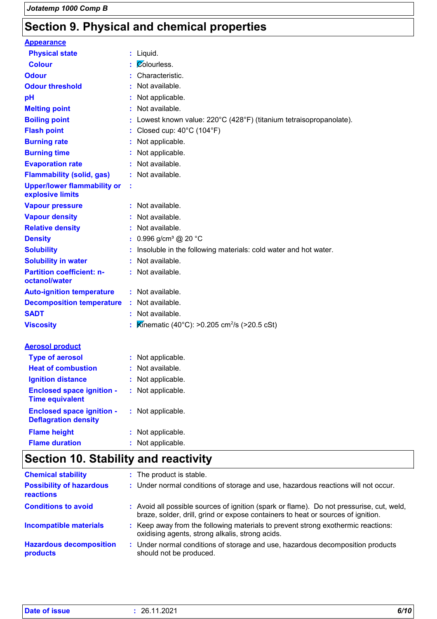## **Section 9. Physical and chemical properties**

| <b>Appearance</b>                                               |                                                                   |
|-----------------------------------------------------------------|-------------------------------------------------------------------|
| <b>Physical state</b>                                           | : Liquid.                                                         |
| <b>Colour</b>                                                   | Colourless.                                                       |
| <b>Odour</b>                                                    | Characteristic.                                                   |
| <b>Odour threshold</b>                                          | : Not available.                                                  |
| рH                                                              | Not applicable.                                                   |
| <b>Melting point</b>                                            | : Not available.                                                  |
| <b>Boiling point</b>                                            | Lowest known value: 220°C (428°F) (titanium tetraisopropanolate). |
| <b>Flash point</b>                                              | : Closed cup: $40^{\circ}$ C (104 $^{\circ}$ F)                   |
| <b>Burning rate</b>                                             | : Not applicable.                                                 |
| <b>Burning time</b>                                             | : Not applicable.                                                 |
| <b>Evaporation rate</b>                                         | : Not available.                                                  |
| <b>Flammability (solid, gas)</b>                                | : Not available.                                                  |
| <b>Upper/lower flammability or</b><br>explosive limits          | ÷                                                                 |
| <b>Vapour pressure</b>                                          | : Not available.                                                  |
| <b>Vapour density</b>                                           | : Not available.                                                  |
| <b>Relative density</b>                                         | : Not available.                                                  |
| <b>Density</b>                                                  | 0.996 g/cm <sup>3</sup> @ 20 °C<br>$\ddot{\cdot}$                 |
| <b>Solubility</b>                                               | Insoluble in the following materials: cold water and hot water.   |
| <b>Solubility in water</b>                                      | Not available.<br>÷.                                              |
| <b>Partition coefficient: n-</b><br>octanol/water               | : Not available.                                                  |
| <b>Auto-ignition temperature</b>                                | : Not available.                                                  |
| <b>Decomposition temperature</b>                                | Not available.                                                    |
| <b>SADT</b>                                                     | : Not available.                                                  |
| <b>Viscosity</b>                                                | Kinematic (40°C): >0.205 cm <sup>2</sup> /s (>20.5 cSt)           |
| <b>Aerosol product</b>                                          |                                                                   |
| <b>Type of aerosol</b>                                          | : Not applicable.                                                 |
| <b>Heat of combustion</b>                                       | Not available.                                                    |
| <b>Ignition distance</b>                                        | Not applicable.                                                   |
| <b>Enclosed space ignition -</b><br><b>Time equivalent</b>      | Not applicable.                                                   |
| <b>Enclosed space ignition -</b><br><b>Deflagration density</b> | : Not applicable.                                                 |
| <b>Flame height</b>                                             | Not applicable.                                                   |
| <b>Flame duration</b>                                           | Not applicable.                                                   |

## **Section 10. Stability and reactivity**

| <b>Chemical stability</b>                    | : The product is stable.                                                                                                                                                     |
|----------------------------------------------|------------------------------------------------------------------------------------------------------------------------------------------------------------------------------|
| <b>Possibility of hazardous</b><br>reactions | : Under normal conditions of storage and use, hazardous reactions will not occur.                                                                                            |
| <b>Conditions to avoid</b>                   | : Avoid all possible sources of ignition (spark or flame). Do not pressurise, cut, weld,<br>braze, solder, drill, grind or expose containers to heat or sources of ignition. |
| <b>Incompatible materials</b>                | : Keep away from the following materials to prevent strong exothermic reactions:<br>oxidising agents, strong alkalis, strong acids.                                          |
| <b>Hazardous decomposition</b><br>products   | Under normal conditions of storage and use, hazardous decomposition products<br>÷.<br>should not be produced.                                                                |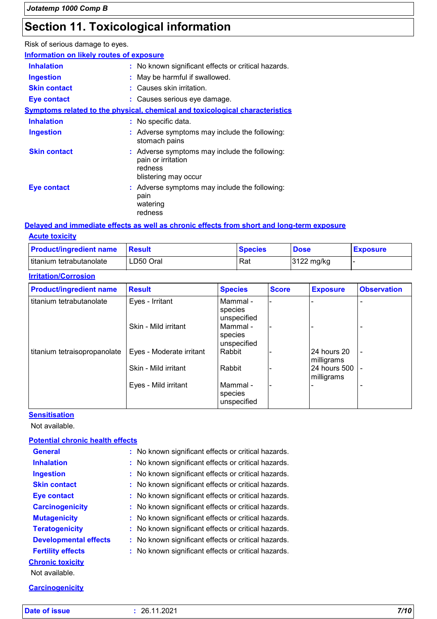## **Section 11. Toxicological information**

Risk of serious damage to eyes.

| Information on likely routes of exposure |
|------------------------------------------|
|------------------------------------------|

| <b>Inhalation</b>   | : No known significant effects or critical hazards.                                                    |
|---------------------|--------------------------------------------------------------------------------------------------------|
| <b>Ingestion</b>    | : May be harmful if swallowed.                                                                         |
| <b>Skin contact</b> | : Causes skin irritation.                                                                              |
| <b>Eye contact</b>  | : Causes serious eye damage.                                                                           |
|                     | <u>Symptoms related to the physical, chemical and toxicological characteristics</u>                    |
| <b>Inhalation</b>   | : No specific data.                                                                                    |
| <b>Ingestion</b>    | : Adverse symptoms may include the following:<br>stomach pains                                         |
| <b>Skin contact</b> | : Adverse symptoms may include the following:<br>pain or irritation<br>redness<br>blistering may occur |
| <b>Eye contact</b>  | : Adverse symptoms may include the following:<br>pain<br>watering<br>redness                           |

#### **Delayed and immediate effects as well as chronic effects from short and long-term exposure**

| <b>Acute toxicity</b>          |               |                |             |                 |
|--------------------------------|---------------|----------------|-------------|-----------------|
| <b>Product/ingredient name</b> | <b>Besult</b> | <b>Species</b> | <b>Dose</b> | <b>Exposure</b> |
| titanium tetrabutanolate       | LD50 Oral     | Rat            | 3122 mg/kg  |                 |

#### **Irritation/Corrosion**

| <b>Product/ingredient name</b> | <b>Result</b>            | <b>Species</b>                       | <b>Score</b> | <b>Exposure</b>            | <b>Observation</b> |
|--------------------------------|--------------------------|--------------------------------------|--------------|----------------------------|--------------------|
| titanium tetrabutanolate       | Eyes - Irritant          | Mammal -<br>species<br>unspecified   |              |                            |                    |
|                                | Skin - Mild irritant     | Mammal -<br>species<br>unspecified   |              |                            |                    |
| titanium tetraisopropanolate   | Eyes - Moderate irritant | l Rabbit                             |              | 24 hours 20<br>milligrams  | $\blacksquare$     |
|                                | Skin - Mild irritant     | Rabbit                               |              | 24 hours 500<br>milligrams | $\blacksquare$     |
|                                | Eyes - Mild irritant     | l Mammal -<br>species<br>unspecified |              |                            |                    |

**Sensitisation**

Not available.

#### **Potential chronic health effects**

#### **Carcinogenicity**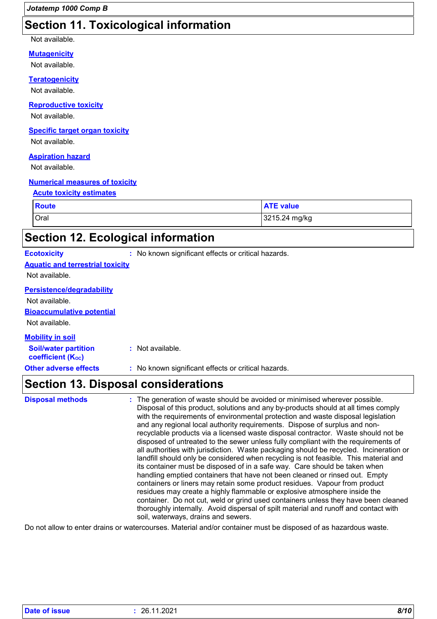### **Section 11. Toxicological information**

#### Not available.

#### **Mutagenicity**

Not available.

#### **Teratogenicity**

Not available.

#### **Reproductive toxicity**

Not available.

#### **Specific target organ toxicity**

Not available.

#### **Aspiration hazard**

Not available.

#### **Numerical measures of toxicity**

#### **Acute toxicity estimates**

| <b>Route</b> | <b>ATE value</b> |
|--------------|------------------|
| Oral         | 3215.24 mg/kg    |

## **Section 12. Ecological information**

|  | Ecotoxicity |  |
|--|-------------|--|
|  |             |  |
|  |             |  |

**Ecotoxicity :** No known significant effects or critical hazards.

#### **Aquatic and terrestrial toxicity**

Not available.

### **Persistence/degradability**

Not available.

#### **Bioaccumulative potential**

Not available.

#### **Mobility in soil**

**Soil/water partition coefficient (KOC) :** Not available.

**Other adverse effects** : No known significant effects or critical hazards.

### **Section 13. Disposal considerations**

| <b>Disposal methods</b> | : The generation of waste should be avoided or minimised wherever possible.<br>Disposal of this product, solutions and any by-products should at all times comply<br>with the requirements of environmental protection and waste disposal legislation<br>and any regional local authority requirements. Dispose of surplus and non-<br>recyclable products via a licensed waste disposal contractor. Waste should not be<br>disposed of untreated to the sewer unless fully compliant with the requirements of<br>all authorities with jurisdiction. Waste packaging should be recycled. Incineration or<br>landfill should only be considered when recycling is not feasible. This material and<br>its container must be disposed of in a safe way. Care should be taken when<br>handling emptied containers that have not been cleaned or rinsed out. Empty<br>containers or liners may retain some product residues. Vapour from product<br>residues may create a highly flammable or explosive atmosphere inside the<br>container. Do not cut, weld or grind used containers unless they have been cleaned<br>thoroughly internally. Avoid dispersal of spilt material and runoff and contact with<br>soil, waterways, drains and sewers. |
|-------------------------|-----------------------------------------------------------------------------------------------------------------------------------------------------------------------------------------------------------------------------------------------------------------------------------------------------------------------------------------------------------------------------------------------------------------------------------------------------------------------------------------------------------------------------------------------------------------------------------------------------------------------------------------------------------------------------------------------------------------------------------------------------------------------------------------------------------------------------------------------------------------------------------------------------------------------------------------------------------------------------------------------------------------------------------------------------------------------------------------------------------------------------------------------------------------------------------------------------------------------------------------------|
|                         |                                                                                                                                                                                                                                                                                                                                                                                                                                                                                                                                                                                                                                                                                                                                                                                                                                                                                                                                                                                                                                                                                                                                                                                                                                               |

Do not allow to enter drains or watercourses. Material and/or container must be disposed of as hazardous waste.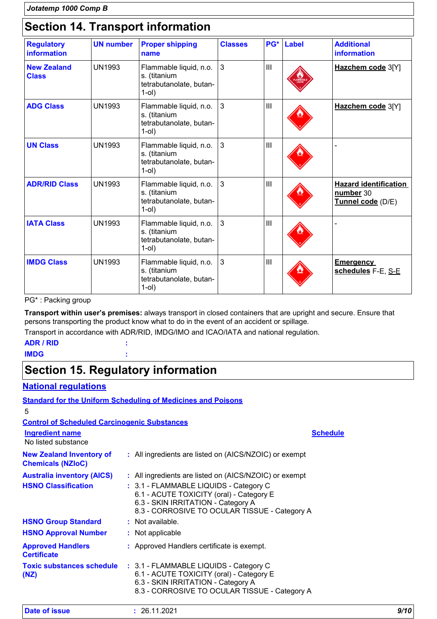## **Section 14. Transport information**

| <b>Regulatory</b><br>information   | <b>UN number</b> | <b>Proper shipping</b><br>name                                                | <b>Classes</b> | PG*            | <b>Label</b> | <b>Additional</b><br>information                               |
|------------------------------------|------------------|-------------------------------------------------------------------------------|----------------|----------------|--------------|----------------------------------------------------------------|
| <b>New Zealand</b><br><b>Class</b> | <b>UN1993</b>    | Flammable liquid, n.o.<br>s. (titanium<br>tetrabutanolate, butan-<br>$1$ -ol) | $\mathbf{3}$   | $\mathbf{III}$ |              | Hazchem code 3[Y]                                              |
| <b>ADG Class</b>                   | <b>UN1993</b>    | Flammable liquid, n.o.<br>s. (titanium<br>tetrabutanolate, butan-<br>$1$ -ol) | 3              | $\mathbf{III}$ |              | Hazchem code 3[Y]                                              |
| <b>UN Class</b>                    | <b>UN1993</b>    | Flammable liquid, n.o.<br>s. (titanium<br>tetrabutanolate, butan-<br>$1$ -ol) | 3              | $\mathbf{III}$ |              |                                                                |
| <b>ADR/RID Class</b>               | <b>UN1993</b>    | Flammable liquid, n.o.<br>s. (titanium<br>tetrabutanolate, butan-<br>$1$ -ol) | 3              | $\mathbf{III}$ |              | <b>Hazard identification</b><br>number 30<br>Tunnel code (D/E) |
| <b>IATA Class</b>                  | <b>UN1993</b>    | Flammable liquid, n.o.<br>s. (titanium<br>tetrabutanolate, butan-<br>$1$ -ol) | $\mathbf{3}$   | $\mathbf{III}$ |              |                                                                |
| <b>IMDG Class</b>                  | <b>UN1993</b>    | Flammable liquid, n.o.<br>s. (titanium<br>tetrabutanolate, butan-<br>$1$ -ol) | $\mathbf{3}$   | $\mathbf{III}$ |              | <b>Emergency</b><br>schedules F-E, S-E                         |

PG\* : Packing group

**Transport within user's premises:** always transport in closed containers that are upright and secure. Ensure that persons transporting the product know what to do in the event of an accident or spillage.

Transport in accordance with ADR/RID, IMDG/IMO and ICAO/IATA and national regulation.

#### **ADR / RID : IMDG :**

## **Section 15. Regulatory information**

#### **National regulations**

|                                                             | <b>Standard for the Uniform Scheduling of Medicines and Poisons</b>                                                                                                       |                 |
|-------------------------------------------------------------|---------------------------------------------------------------------------------------------------------------------------------------------------------------------------|-----------------|
| 5                                                           |                                                                                                                                                                           |                 |
| <b>Control of Scheduled Carcinogenic Substances</b>         |                                                                                                                                                                           |                 |
| <b>Ingredient name</b><br>No listed substance               |                                                                                                                                                                           | <b>Schedule</b> |
| <b>New Zealand Inventory of</b><br><b>Chemicals (NZIoC)</b> | : All ingredients are listed on (AICS/NZOIC) or exempt                                                                                                                    |                 |
| Australia inventory (AICS)                                  | : All ingredients are listed on (AICS/NZOIC) or exempt                                                                                                                    |                 |
| <b>HSNO Classification</b>                                  | : 3.1 - FLAMMABLE LIQUIDS - Category C<br>6.1 - ACUTE TOXICITY (oral) - Category E<br>6.3 - SKIN IRRITATION - Category A<br>8.3 - CORROSIVE TO OCULAR TISSUE - Category A |                 |
| <b>HSNO Group Standard</b>                                  | : Not available.                                                                                                                                                          |                 |
| <b>HSNO Approval Number</b>                                 | : Not applicable                                                                                                                                                          |                 |
| <b>Approved Handlers</b><br><b>Certificate</b>              | : Approved Handlers certificate is exempt.                                                                                                                                |                 |
| <b>Toxic substances schedule</b><br>(NZ)                    | : 3.1 - FLAMMABLE LIQUIDS - Category C<br>6.1 - ACUTE TOXICITY (oral) - Category E<br>6.3 - SKIN IRRITATION - Category A<br>8.3 - CORROSIVE TO OCULAR TISSUE - Category A |                 |

| Date of issue<br>26.11.2021 | 9/10 |
|-----------------------------|------|
|-----------------------------|------|